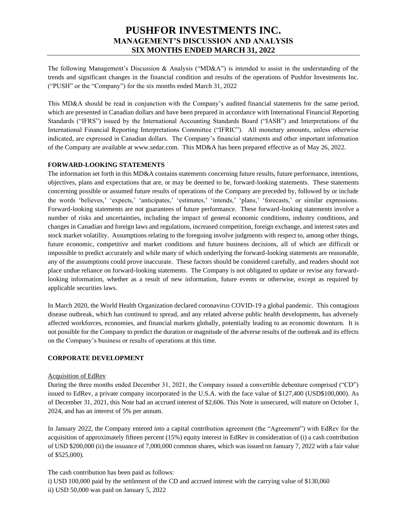The following Management's Discussion & Analysis ("MD&A") is intended to assist in the understanding of the trends and significant changes in the financial condition and results of the operations of Pushfor Investments Inc. ("PUSH" or the "Company") for the six months ended March 31, 2022

This MD&A should be read in conjunction with the Company's audited financial statements for the same period, which are presented in Canadian dollars and have been prepared in accordance with International Financial Reporting Standards ("IFRS") issued by the International Accounting Standards Board ("IASB") and Interpretations of the International Financial Reporting Interpretations Committee ("IFRIC"). All monetary amounts, unless otherwise indicated, are expressed in Canadian dollars. The Company's financial statements and other important information of the Company are available at www.sedar.com. This MD&A has been prepared effective as of May 26, 2022.

## **FORWARD-LOOKING STATEMENTS**

The information set forth in this MD&A contains statements concerning future results, future performance, intentions, objectives, plans and expectations that are, or may be deemed to be, forward-looking statements. These statements concerning possible or assumed future results of operations of the Company are preceded by, followed by or include the words 'believes,' 'expects,' 'anticipates,' 'estimates,' 'intends,' 'plans,' 'forecasts,' or similar expressions. Forward-looking statements are not guarantees of future performance. These forward-looking statements involve a number of risks and uncertainties, including the impact of general economic conditions, industry conditions, and changes in Canadian and foreign laws and regulations, increased competition, foreign exchange, and interest rates and stock market volatility. Assumptions relating to the foregoing involve judgments with respect to, among other things, future economic, competitive and market conditions and future business decisions, all of which are difficult or impossible to predict accurately and while many of which underlying the forward-looking statements are reasonable, any of the assumptions could prove inaccurate. These factors should be considered carefully, and readers should not place undue reliance on forward-looking statements. The Company is not obligated to update or revise any forwardlooking information, whether as a result of new information, future events or otherwise, except as required by applicable securities laws.

In March 2020, the World Health Organization declared coronavirus COVID-19 a global pandemic. This contagious disease outbreak, which has continued to spread, and any related adverse public health developments, has adversely affected workforces, economies, and financial markets globally, potentially leading to an economic downturn. It is not possible for the Company to predict the duration or magnitude of the adverse results of the outbreak and its effects on the Company's business or results of operations at this time.

## **CORPORATE DEVELOPMENT**

## Acquisition of EdRev

During the three months ended December 31, 2021, the Company issued a convertible debenture comprised ("CD") issued to EdRev, a private company incorporated in the U.S.A. with the face value of \$127,400 (USD\$100,000). As of December 31, 2021, this Note had an accrued interest of \$2,606. This Note is unsecured, will mature on October 1, 2024, and has an interest of 5% per annum.

In January 2022, the Company entered into a capital contribution agreement (the "Agreement") with EdRev for the acquisition of approximately fifteen percent (15%) equity interest in EdRev in consideration of (i) a cash contribution of USD \$200,000 (ii) the issuance of 7,000,000 common shares, which was issued on January 7, 2022 with a fair value of \$525,000).

The cash contribution has been paid as follows:

i) USD 100,000 paid by the settlement of the CD and accrued interest with the carrying value of \$130,060 ii) USD 50,000 was paid on January 5, 2022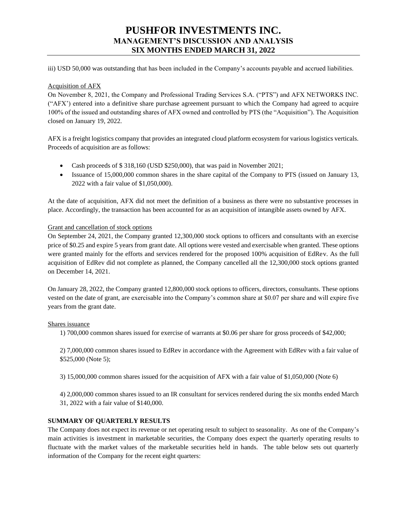iii) USD 50,000 was outstanding that has been included in the Company's accounts payable and accrued liabilities.

### Acquisition of AFX

On November 8, 2021, the Company and Professional Trading Services S.A. ("PTS") and AFX NETWORKS INC. ("AFX') entered into a definitive share purchase agreement pursuant to which the Company had agreed to acquire 100% of the issued and outstanding shares of AFX owned and controlled by PTS (the "Acquisition"). The Acquisition closed on January 19, 2022.

AFX is a freight logistics company that provides an integrated cloud platform ecosystem for various logistics verticals. Proceeds of acquisition are as follows:

- Cash proceeds of \$ 318,160 (USD \$250,000), that was paid in November 2021;
- Issuance of 15,000,000 common shares in the share capital of the Company to PTS (issued on January 13, 2022 with a fair value of \$1,050,000).

At the date of acquisition, AFX did not meet the definition of a business as there were no substantive processes in place. Accordingly, the transaction has been accounted for as an acquisition of intangible assets owned by AFX.

#### Grant and cancellation of stock options

On September 24, 2021, the Company granted 12,300,000 stock options to officers and consultants with an exercise price of \$0.25 and expire 5 years from grant date. All options were vested and exercisable when granted. These options were granted mainly for the efforts and services rendered for the proposed 100% acquisition of EdRev. As the full acquisition of EdRev did not complete as planned, the Company cancelled all the 12,300,000 stock options granted on December 14, 2021.

On January 28, 2022, the Company granted 12,800,000 stock options to officers, directors, consultants. These options vested on the date of grant, are exercisable into the Company's common share at \$0.07 per share and will expire five years from the grant date.

#### Shares issuance

1) 700,000 common shares issued for exercise of warrants at \$0.06 per share for gross proceeds of \$42,000;

2) 7,000,000 common shares issued to EdRev in accordance with the Agreement with EdRev with a fair value of \$525,000 (Note 5);

3) 15,000,000 common shares issued for the acquisition of AFX with a fair value of \$1,050,000 (Note 6)

4) 2,000,000 common shares issued to an IR consultant for services rendered during the six months ended March 31, 2022 with a fair value of \$140,000.

## **SUMMARY OF QUARTERLY RESULTS**

The Company does not expect its revenue or net operating result to subject to seasonality. As one of the Company's main activities is investment in marketable securities, the Company does expect the quarterly operating results to fluctuate with the market values of the marketable securities held in hands. The table below sets out quarterly information of the Company for the recent eight quarters: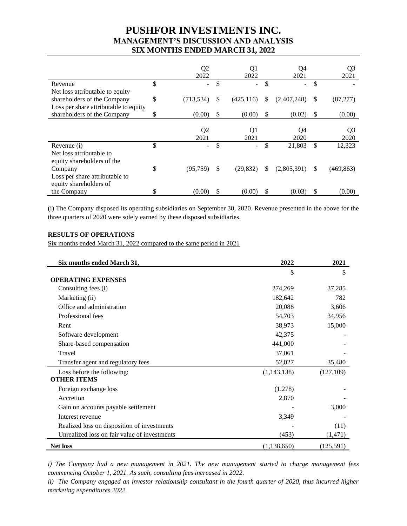|                                       |    | Q <sub>2</sub><br>2022 | Q1<br>2022              |     | Q4<br>2021  | Q <sub>3</sub><br>2021 |
|---------------------------------------|----|------------------------|-------------------------|-----|-------------|------------------------|
| Revenue                               | \$ | Ξ.                     | \$<br>٠                 | \$  |             | \$                     |
| Net loss attributable to equity       |    |                        |                         |     |             |                        |
| shareholders of the Company           | \$ | (713, 534)             | \$<br>(425, 116)        | \$  | (2,407,248) | \$<br>(87, 277)        |
| Loss per share attributable to equity |    |                        |                         |     |             |                        |
| shareholders of the Company           | S  | (0.00)                 | \$<br>(0.00)            | \$  | (0.02)      | \$<br>(0.00)           |
|                                       |    |                        |                         |     |             |                        |
|                                       |    | Q <sub>2</sub>         | Q1                      |     | Q4          | Q <sub>3</sub>         |
|                                       |    | 2021                   | 2021                    |     | 2020        | 2020                   |
| Revenue (i)                           | \$ | Ξ.                     | \$<br>$\qquad \qquad -$ | \$  | 21,803      | \$<br>12,323           |
| Net loss attributable to              |    |                        |                         |     |             |                        |
| equity shareholders of the            |    |                        |                         |     |             |                        |
| Company                               | \$ | (95, 759)              | \$<br>(29, 832)         | \$. | (2,805,391) | \$<br>(469, 863)       |
| Loss per share attributable to        |    |                        |                         |     |             |                        |
| equity shareholders of                |    |                        |                         |     |             |                        |
| the Company                           | \$ | (0.00)                 | (0.00)                  | \$  | (0.03)      | \$<br>(0.00)           |

(i) The Company disposed its operating subsidiaries on September 30, 2020. Revenue presented in the above for the three quarters of 2020 were solely earned by these disposed subsidiaries.

## **RESULTS OF OPERATIONS**

Six months ended March 31, 2022 compared to the same period in 2021

| Six months ended March 31,                   | 2022          | 2021       |
|----------------------------------------------|---------------|------------|
|                                              | \$            | \$         |
| <b>OPERATING EXPENSES</b>                    |               |            |
| Consulting fees (i)                          | 274,269       | 37,285     |
| Marketing (ii)                               | 182,642       | 782        |
| Office and administration                    | 20,088        | 3,606      |
| Professional fees                            | 54,703        | 34,956     |
| Rent                                         | 38,973        | 15,000     |
| Software development                         | 42,375        |            |
| Share-based compensation                     | 441,000       |            |
| Travel                                       | 37,061        |            |
| Transfer agent and regulatory fees           | 52,027        | 35,480     |
| Loss before the following:                   | (1,143,138)   | (127,109)  |
| <b>OTHER ITEMS</b>                           |               |            |
| Foreign exchange loss                        | (1,278)       |            |
| Accretion                                    | 2,870         |            |
| Gain on accounts payable settlement          |               | 3,000      |
| Interest revenue                             | 3,349         |            |
| Realized loss on disposition of investments  |               | (11)       |
| Unrealized loss on fair value of investments | (453)         | (1,471)    |
| <b>Net loss</b>                              | (1, 138, 650) | (125, 591) |

*i) The Company had a new management in 2021. The new management started to charge management fees commencing October 1, 2021. As such, consulting fees increased in 2022.*

*ii) The Company engaged an investor relationship consultant in the fourth quarter of 2020, thus incurred higher marketing expenditures 2022.*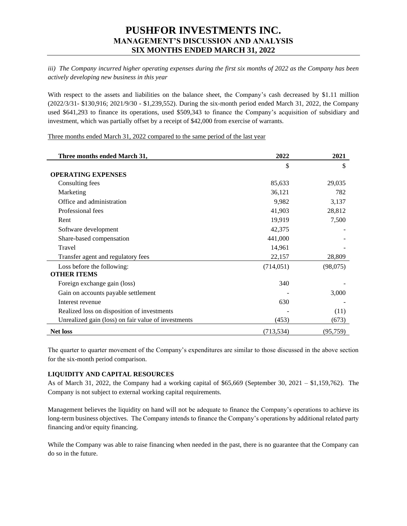*iii) The Company incurred higher operating expenses during the first six months of 2022 as the Company has been actively developing new business in this year*

With respect to the assets and liabilities on the balance sheet, the Company's cash decreased by \$1.11 million (2022/3/31- \$130,916; 2021/9/30 - \$1,239,552). During the six-month period ended March 31, 2022, the Company used \$641,293 to finance its operations, used \$509,343 to finance the Company's acquisition of subsidiary and investment, which was partially offset by a receipt of \$42,000 from exercise of warrants.

Three months ended March 31, 2022 compared to the same period of the last year

| Three months ended March 31,                        | 2022       | 2021      |  |
|-----------------------------------------------------|------------|-----------|--|
|                                                     | \$         | \$        |  |
| <b>OPERATING EXPENSES</b>                           |            |           |  |
| Consulting fees                                     | 85,633     | 29,035    |  |
| Marketing                                           | 36,121     | 782       |  |
| Office and administration                           | 9,982      | 3,137     |  |
| Professional fees                                   | 41,903     | 28,812    |  |
| Rent                                                | 19,919     | 7,500     |  |
| Software development                                | 42,375     |           |  |
| Share-based compensation                            | 441,000    |           |  |
| Travel                                              | 14,961     |           |  |
| Transfer agent and regulatory fees                  | 22,157     | 28,809    |  |
| Loss before the following:                          | (714, 051) | (98,075)  |  |
| <b>OTHER ITEMS</b>                                  |            |           |  |
| Foreign exchange gain (loss)                        | 340        |           |  |
| Gain on accounts payable settlement                 |            | 3,000     |  |
| Interest revenue                                    | 630        |           |  |
| Realized loss on disposition of investments         |            | (11)      |  |
| Unrealized gain (loss) on fair value of investments | (453)      | (673)     |  |
| <b>Net loss</b>                                     | (713, 534) | (95, 759) |  |

The quarter to quarter movement of the Company's expenditures are similar to those discussed in the above section for the six-month period comparison.

## **LIQUIDITY AND CAPITAL RESOURCES**

As of March 31, 2022, the Company had a working capital of \$65,669 (September 30, 2021 – \$1,159,762). The Company is not subject to external working capital requirements.

Management believes the liquidity on hand will not be adequate to finance the Company's operations to achieve its long-term business objectives. The Company intends to finance the Company's operations by additional related party financing and/or equity financing.

While the Company was able to raise financing when needed in the past, there is no guarantee that the Company can do so in the future.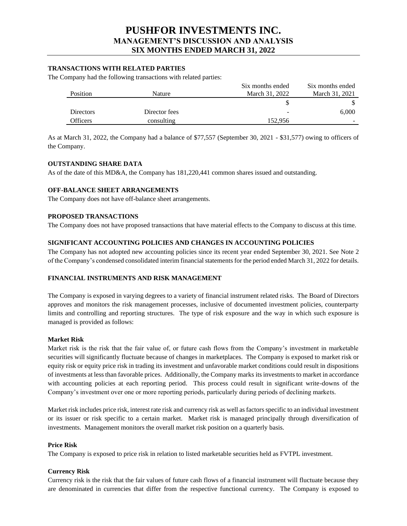### **TRANSACTIONS WITH RELATED PARTIES**

The Company had the following transactions with related parties:

|                  |               | Six months ended | Six months ended |
|------------------|---------------|------------------|------------------|
| Position         | Nature        | March 31, 2022   | March 31, 2021   |
|                  |               |                  |                  |
| <b>Directors</b> | Director fees | -                | 6,000            |
| Officers         | consulting    | 152.956          | -                |

As at March 31, 2022, the Company had a balance of \$77,557 (September 30, 2021 - \$31,577) owing to officers of the Company.

#### **OUTSTANDING SHARE DATA**

As of the date of this MD&A, the Company has 181,220,441 common shares issued and outstanding.

## **OFF-BALANCE SHEET ARRANGEMENTS**

The Company does not have off-balance sheet arrangements.

#### **PROPOSED TRANSACTIONS**

The Company does not have proposed transactions that have material effects to the Company to discuss at this time.

### **SIGNIFICANT ACCOUNTING POLICIES AND CHANGES IN ACCOUNTING POLICIES**

The Company has not adopted new accounting policies since its recent year ended September 30, 2021. See Note 2 of the Company's condensed consolidated interim financial statements for the period ended March 31, 2022 for details.

## **FINANCIAL INSTRUMENTS AND RISK MANAGEMENT**

The Company is exposed in varying degrees to a variety of financial instrument related risks. The Board of Directors approves and monitors the risk management processes, inclusive of documented investment policies, counterparty limits and controlling and reporting structures. The type of risk exposure and the way in which such exposure is managed is provided as follows:

#### **Market Risk**

Market risk is the risk that the fair value of, or future cash flows from the Company's investment in marketable securities will significantly fluctuate because of changes in marketplaces. The Company is exposed to market risk or equity risk or equity price risk in trading its investment and unfavorable market conditions could result in dispositions of investments at less than favorable prices. Additionally, the Company marks its investments to market in accordance with accounting policies at each reporting period. This process could result in significant write-downs of the Company's investment over one or more reporting periods, particularly during periods of declining markets.

Market risk includes price risk, interest rate risk and currency risk as well as factors specific to an individual investment or its issuer or risk specific to a certain market. Market risk is managed principally through diversification of investments. Management monitors the overall market risk position on a quarterly basis.

#### **Price Risk**

The Company is exposed to price risk in relation to listed marketable securities held as FVTPL investment.

#### **Currency Risk**

Currency risk is the risk that the fair values of future cash flows of a financial instrument will fluctuate because they are denominated in currencies that differ from the respective functional currency. The Company is exposed to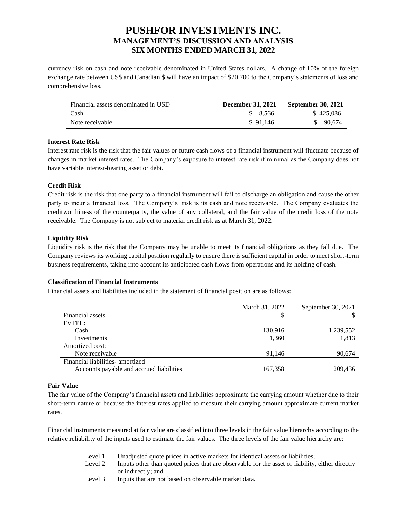currency risk on cash and note receivable denominated in United States dollars. A change of 10% of the foreign exchange rate between US\$ and Canadian \$ will have an impact of \$20,700 to the Company's statements of loss and comprehensive loss.

| Financial assets denominated in USD | <b>December 31, 2021</b> | <b>September 30, 2021</b> |
|-------------------------------------|--------------------------|---------------------------|
| Cash                                | \$8,566                  | \$425,086                 |
| Note receivable                     | \$91.146                 | \$90.674                  |

## **Interest Rate Risk**

Interest rate risk is the risk that the fair values or future cash flows of a financial instrument will fluctuate because of changes in market interest rates. The Company's exposure to interest rate risk if minimal as the Company does not have variable interest-bearing asset or debt.

## **Credit Risk**

Credit risk is the risk that one party to a financial instrument will fail to discharge an obligation and cause the other party to incur a financial loss. The Company's risk is its cash and note receivable. The Company evaluates the creditworthiness of the counterparty, the value of any collateral, and the fair value of the credit loss of the note receivable. The Company is not subject to material credit risk as at March 31, 2022.

## **Liquidity Risk**

Liquidity risk is the risk that the Company may be unable to meet its financial obligations as they fall due. The Company reviews its working capital position regularly to ensure there is sufficient capital in order to meet short-term business requirements, taking into account its anticipated cash flows from operations and its holding of cash.

## **Classification of Financial Instruments**

Financial assets and liabilities included in the statement of financial position are as follows:

|                                          | March 31, 2022 | September 30, 2021 |
|------------------------------------------|----------------|--------------------|
| Financial assets                         |                |                    |
| <b>FVTPL:</b>                            |                |                    |
| Cash                                     | 130,916        | 1,239,552          |
| Investments                              | 1,360          | 1,813              |
| Amortized cost:                          |                |                    |
| Note receivable                          | 91.146         | 90,674             |
| Financial liabilities- amortized         |                |                    |
| Accounts payable and accrued liabilities | 167,358        | 209,436            |
|                                          |                |                    |

## **Fair Value**

The fair value of the Company's financial assets and liabilities approximate the carrying amount whether due to their short-term nature or because the interest rates applied to measure their carrying amount approximate current market rates.

Financial instruments measured at fair value are classified into three levels in the fair value hierarchy according to the relative reliability of the inputs used to estimate the fair values. The three levels of the fair value hierarchy are:

- Level 1 Unadjusted quote prices in active markets for identical assets or liabilities;
- Level 2 Inputs other than quoted prices that are observable for the asset or liability, either directly or indirectly; and
- Level 3 Inputs that are not based on observable market data.